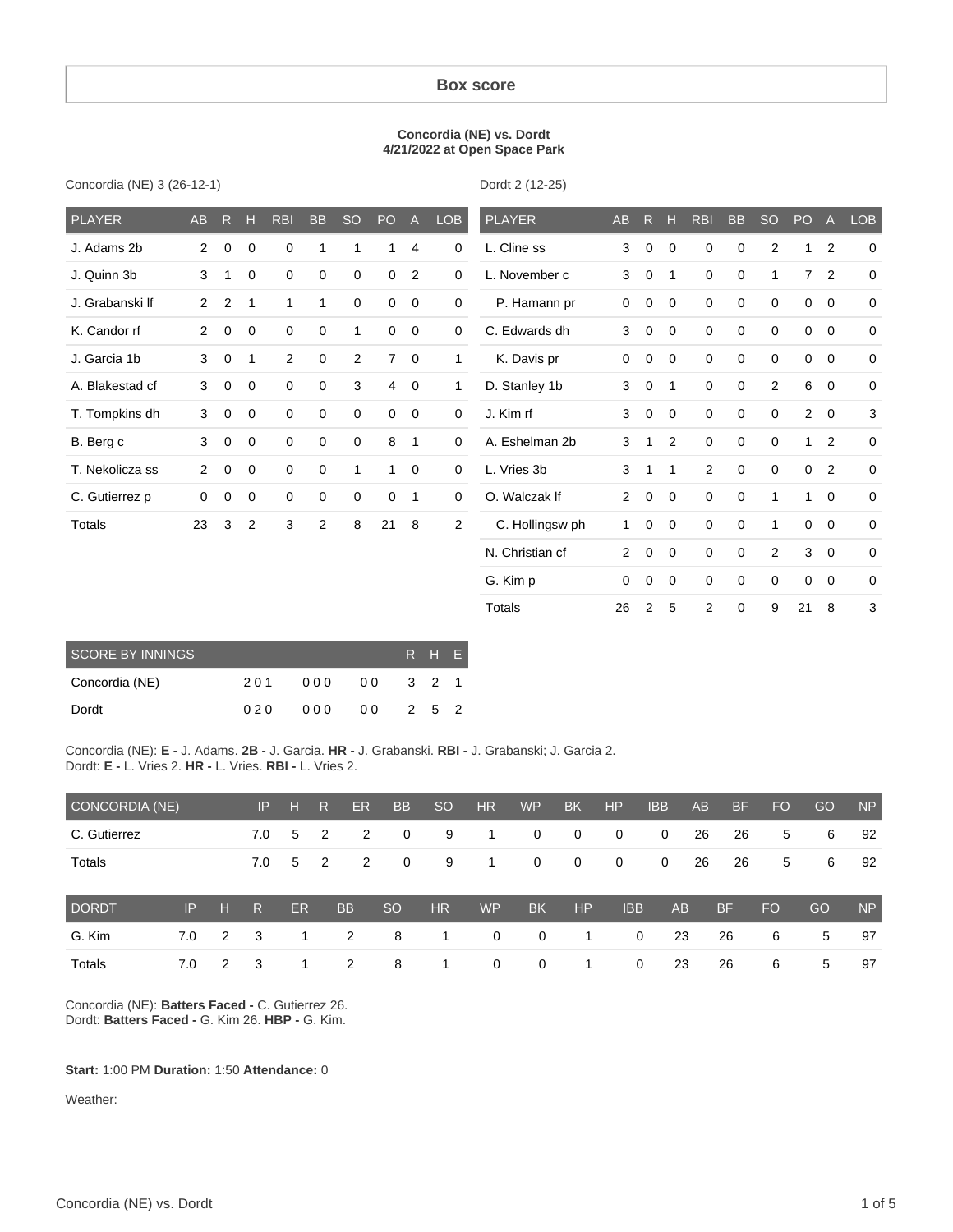#### **Box score**

#### **Concordia (NE) vs. Dordt 4/21/2022 at Open Space Park**

Concordia (NE) 3 (26-12-1)

Dordt 2 (12-25)

Totals 26 2 5 2 0 9 21 8 3

| <b>PLAYER</b>   | <b>AB</b>      | R           | H              | <b>RBI</b>     | <b>BB</b>   | <b>SO</b>   | PO             | $\mathsf{A}$   | LOB            | <b>PLAYER</b>   | AB             | R.          | н            | <b>RBI</b>  | <b>BB</b>   | <b>SO</b>      | PO             | $\mathsf{A}$ | <b>LOB</b>  |
|-----------------|----------------|-------------|----------------|----------------|-------------|-------------|----------------|----------------|----------------|-----------------|----------------|-------------|--------------|-------------|-------------|----------------|----------------|--------------|-------------|
| J. Adams 2b     | $\overline{2}$ | $\mathbf 0$ | 0              | 0              | 1           | 1           | 1              | 4              | 0              | L. Cline ss     | 3              | 0           | 0            | 0           | $\mathbf 0$ | $\overline{2}$ | 1              | 2            | $\Omega$    |
| J. Quinn 3b     | 3              | 1           | 0              | $\mathbf 0$    | $\mathbf 0$ | 0           | $\mathbf 0$    | 2              | 0              | L. November c   | 3              | $\mathbf 0$ | 1            | 0           | 0           | 1              | $\overline{7}$ | 2            | $\mathbf 0$ |
| J. Grabanski If | 2              | 2           | 1              | $\mathbf{1}$   | 1           | $\mathbf 0$ | $\mathbf 0$    | $\overline{0}$ | $\mathbf 0$    | P. Hamann pr    | 0              | 0           | 0            | $\mathbf 0$ | $\mathbf 0$ | $\mathbf 0$    | $\mathbf 0$    | $\mathbf 0$  | $\mathbf 0$ |
| K. Candor rf    | $\overline{2}$ | 0           | 0              | 0              | 0           | 1           | $\mathbf 0$    | $\mathbf 0$    | $\mathbf 0$    | C. Edwards dh   | 3              | $\mathbf 0$ | $\mathbf 0$  | $\mathbf 0$ | 0           | $\mathbf 0$    | $\mathbf 0$    | $\mathbf 0$  | $\mathbf 0$ |
| J. Garcia 1b    | 3              | $\mathbf 0$ | 1              | $\overline{2}$ | $\mathbf 0$ | 2           | $\overline{7}$ | $\mathbf 0$    | 1              | K. Davis pr     | 0              | $\mathbf 0$ | $\mathbf{0}$ | 0           | $\mathbf 0$ | $\mathbf 0$    | $\mathbf 0$    | $\mathbf 0$  | $\mathbf 0$ |
| A. Blakestad cf | 3              | $\mathbf 0$ | 0              | 0              | $\mathbf 0$ | 3           | $\overline{4}$ | $\mathbf 0$    | 1              | D. Stanley 1b   | 3              | 0           | 1            | $\mathbf 0$ | $\mathbf 0$ | 2              | 6              | $\mathbf 0$  | $\mathbf 0$ |
| T. Tompkins dh  | 3              | $\mathbf 0$ | $\mathbf 0$    | $\mathbf 0$    | 0           | $\mathbf 0$ | $\mathbf 0$    | $\mathbf 0$    | $\mathbf 0$    | J. Kim rf       | 3              | $\mathbf 0$ | $\mathbf{0}$ | $\mathbf 0$ | 0           | $\mathbf 0$    | $\overline{2}$ | $\mathbf 0$  | 3           |
| B. Berg c       | 3              | $\mathbf 0$ | $\mathbf 0$    | $\mathbf 0$    | 0           | $\mathbf 0$ | 8              | $\mathbf 1$    | $\Omega$       | A. Eshelman 2b  | 3              | 1           | 2            | $\mathbf 0$ | $\mathbf 0$ | $\mathbf 0$    | 1              | 2            | $\Omega$    |
| T. Nekolicza ss | $\overline{2}$ | $\mathbf 0$ | $\mathbf 0$    | $\mathbf 0$    | $\mathbf 0$ | 1           | 1              | $\overline{0}$ | $\mathbf 0$    | L. Vries 3b     | 3              | 1           | 1            | 2           | $\mathbf 0$ | $\mathbf 0$    | $\mathbf 0$    | 2            | $\mathbf 0$ |
| C. Gutierrez p  | 0              | 0           | 0              | $\mathbf 0$    | $\mathbf 0$ | 0           | $\mathbf 0$    | 1              | $\mathbf 0$    | O. Walczak If   | $\overline{2}$ | $\mathbf 0$ | $\mathbf 0$  | 0           | 0           | 1              | 1              | $\mathbf 0$  | $\mathbf 0$ |
| Totals          | 23             | 3           | $\overline{2}$ | 3              | 2           | 8           | 21             | 8              | $\overline{2}$ | C. Hollingsw ph | 1              | 0           | $\mathbf{0}$ | $\mathbf 0$ | $\mathbf 0$ | 1              | $\Omega$       | $\mathbf 0$  | $\mathbf 0$ |
|                 |                |             |                |                |             |             |                |                |                | N. Christian cf | $\overline{2}$ | $\mathbf 0$ | $\mathbf{0}$ | $\mathbf 0$ | $\mathbf 0$ | 2              | 3              | $\mathbf 0$  | $\mathbf 0$ |
|                 |                |             |                |                |             |             |                |                |                | G. Kim p        | 0              | 0           | 0            | 0           | 0           | 0              | 0              | $\mathbf 0$  | $\mathbf 0$ |

| <b>SCORE BY INNINGS</b> |     | R H F |     |       |       |  |
|-------------------------|-----|-------|-----|-------|-------|--|
| Concordia (NE)          | 201 | 000   | 00  | 3 2 1 |       |  |
| Dordt                   | 020 | 000   | 0 Q |       | 2 5 2 |  |

Concordia (NE): **E -** J. Adams. **2B -** J. Garcia. **HR -** J. Grabanski. **RBI -** J. Grabanski; J. Garcia 2. Dordt: **E -** L. Vries 2. **HR -** L. Vries. **RBI -** L. Vries 2.

| CONCORDIA (NE) |     |   | IP.                     | H  | R              | ER. | <b>BB</b>   | <sub>SO</sub> | <b>HR</b>   | <b>WP</b>   | <b>BK</b>   | <b>HP</b>    | <b>IBB</b>  | <b>AB</b> | <b>BF</b> | <b>FO</b> | GO | <b>NP</b> |
|----------------|-----|---|-------------------------|----|----------------|-----|-------------|---------------|-------------|-------------|-------------|--------------|-------------|-----------|-----------|-----------|----|-----------|
| C. Gutierrez   |     |   | 7.0                     | 5  | $\overline{2}$ | 2   | $\mathbf 0$ | 9             | 1           | 0           | $\mathbf 0$ | 0            | $\mathbf 0$ | 26        | 26        | 5         | 6  | 92        |
| <b>Totals</b>  |     |   | 7.0                     | 5  | $\overline{2}$ | 2   | $\mathbf 0$ | 9             | 1.          | 0           | $\mathbf 0$ | $\mathbf 0$  | 0           | 26        | 26        | 5         | 6  | 92        |
| DORDT,         | IP  | н | $\overline{\mathsf{R}}$ | ER | <b>BB</b>      |     | <b>SO</b>   | <b>HR</b>     | <b>WP</b>   | <b>BK</b>   | HP          | <b>IBB</b>   | AB          |           | <b>BF</b> | <b>FO</b> | GO | <b>NP</b> |
| G. Kim         | 7.0 | 2 | -3                      | 1. | 2              |     | 8           | 1             | $\mathbf 0$ | $\mathbf 0$ | 1.          | $\mathbf{0}$ | 23          |           | 26        | 6         | 5  | 97        |
| Totals         | 7.0 | 2 | -3                      |    | 2              |     | 8           | 1             | 0           | 0           |             | 0            | 23          |           | 26        | 6         | 5  | 97        |

Concordia (NE): **Batters Faced -** C. Gutierrez 26. Dordt: **Batters Faced -** G. Kim 26. **HBP -** G. Kim.

#### **Start:** 1:00 PM **Duration:** 1:50 **Attendance:** 0

Weather: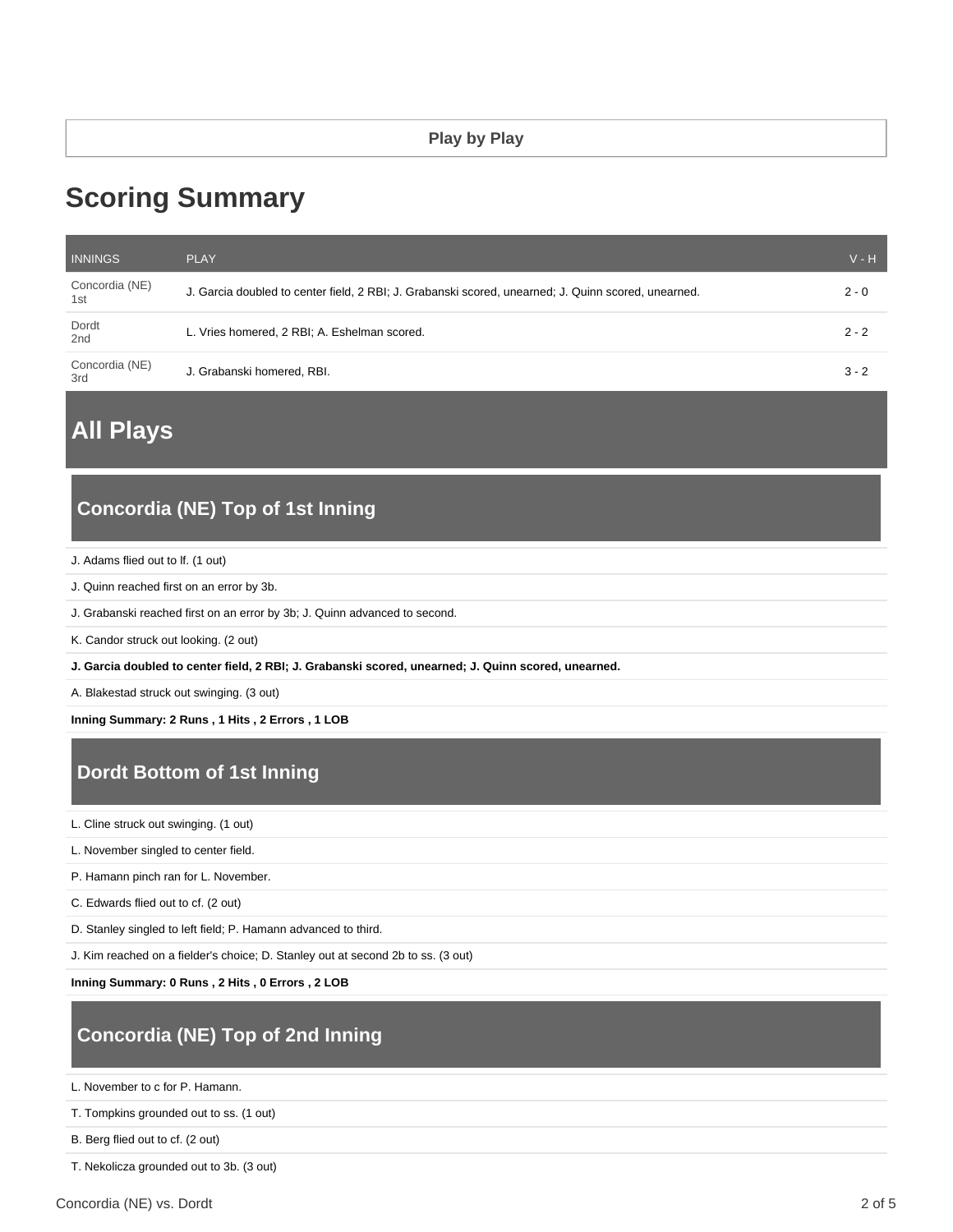# **Scoring Summary**

| <b>INNINGS</b>        | <b>PLAY</b>                                                                                         | $V - H$ |
|-----------------------|-----------------------------------------------------------------------------------------------------|---------|
| Concordia (NE)<br>1st | J. Garcia doubled to center field, 2 RBI; J. Grabanski scored, unearned; J. Quinn scored, unearned. | $2 - 0$ |
| Dordt<br>2nd          | L. Vries homered, 2 RBI; A. Eshelman scored.                                                        | $2 - 2$ |
| Concordia (NE)<br>3rd | J. Grabanski homered, RBI.                                                                          | $3 - 2$ |

**All Plays**

## **Concordia (NE) Top of 1st Inning**

- J. Adams flied out to lf. (1 out)
- J. Quinn reached first on an error by 3b.
- J. Grabanski reached first on an error by 3b; J. Quinn advanced to second.
- K. Candor struck out looking. (2 out)
- **J. Garcia doubled to center field, 2 RBI; J. Grabanski scored, unearned; J. Quinn scored, unearned.**
- A. Blakestad struck out swinging. (3 out)

**Inning Summary: 2 Runs , 1 Hits , 2 Errors , 1 LOB**

## **Dordt Bottom of 1st Inning**

L. Cline struck out swinging. (1 out)

L. November singled to center field.

P. Hamann pinch ran for L. November.

C. Edwards flied out to cf. (2 out)

D. Stanley singled to left field; P. Hamann advanced to third.

J. Kim reached on a fielder's choice; D. Stanley out at second 2b to ss. (3 out)

**Inning Summary: 0 Runs , 2 Hits , 0 Errors , 2 LOB**

### **Concordia (NE) Top of 2nd Inning**

L. November to c for P. Hamann.

T. Tompkins grounded out to ss. (1 out)

B. Berg flied out to cf. (2 out)

T. Nekolicza grounded out to 3b. (3 out)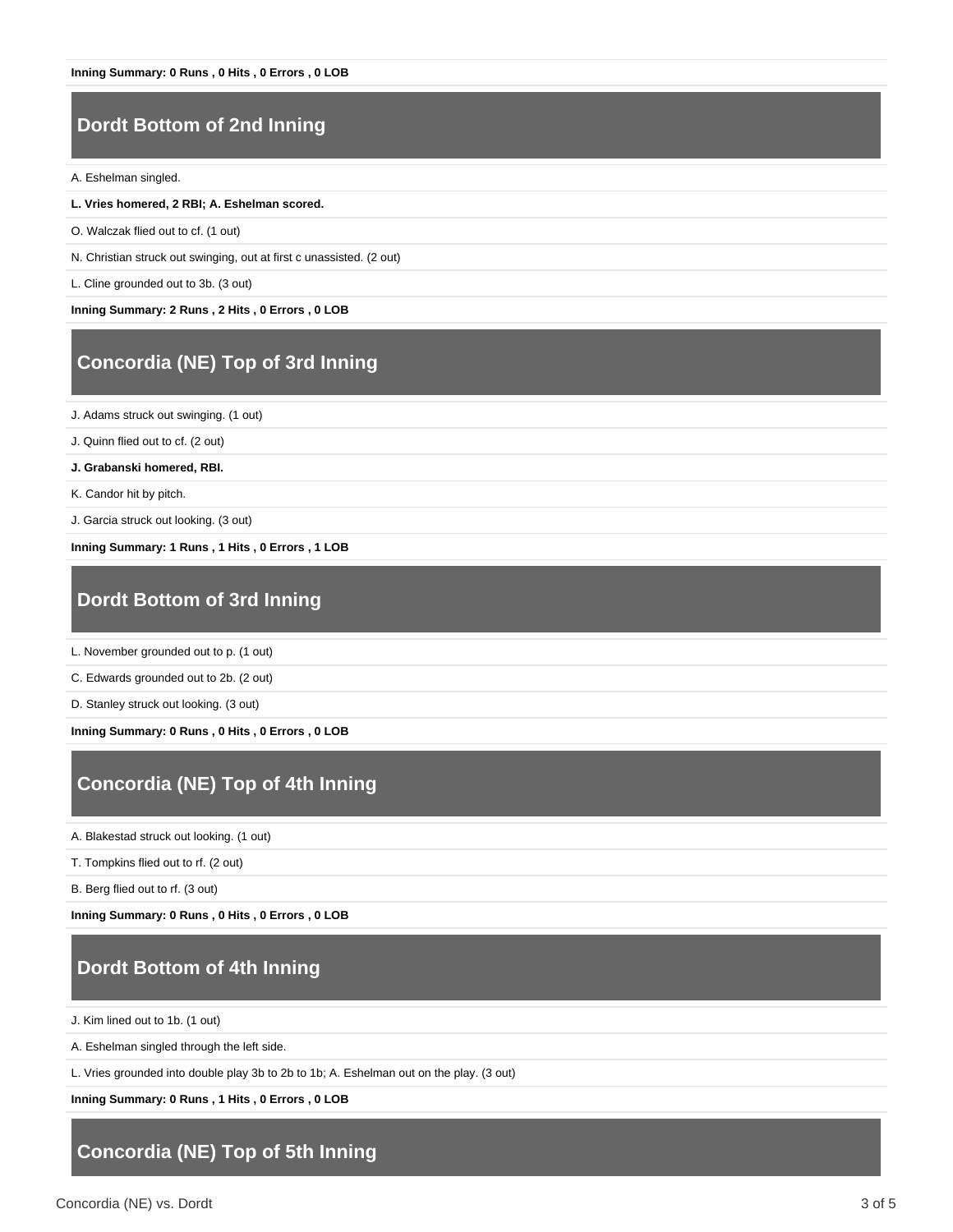#### **Dordt Bottom of 2nd Inning**

A. Eshelman singled.

- **L. Vries homered, 2 RBI; A. Eshelman scored.**
- O. Walczak flied out to cf. (1 out)
- N. Christian struck out swinging, out at first c unassisted. (2 out)
- L. Cline grounded out to 3b. (3 out)

**Inning Summary: 2 Runs , 2 Hits , 0 Errors , 0 LOB**

#### **Concordia (NE) Top of 3rd Inning**

J. Adams struck out swinging. (1 out)

J. Quinn flied out to cf. (2 out)

**J. Grabanski homered, RBI.**

K. Candor hit by pitch.

J. Garcia struck out looking. (3 out)

**Inning Summary: 1 Runs , 1 Hits , 0 Errors , 1 LOB**

#### **Dordt Bottom of 3rd Inning**

L. November grounded out to p. (1 out)

C. Edwards grounded out to 2b. (2 out)

D. Stanley struck out looking. (3 out)

**Inning Summary: 0 Runs , 0 Hits , 0 Errors , 0 LOB**

### **Concordia (NE) Top of 4th Inning**

A. Blakestad struck out looking. (1 out)

T. Tompkins flied out to rf. (2 out)

B. Berg flied out to rf. (3 out)

**Inning Summary: 0 Runs , 0 Hits , 0 Errors , 0 LOB**

#### **Dordt Bottom of 4th Inning**

J. Kim lined out to 1b. (1 out)

A. Eshelman singled through the left side.

L. Vries grounded into double play 3b to 2b to 1b; A. Eshelman out on the play. (3 out)

**Inning Summary: 0 Runs , 1 Hits , 0 Errors , 0 LOB**

#### **Concordia (NE) Top of 5th Inning**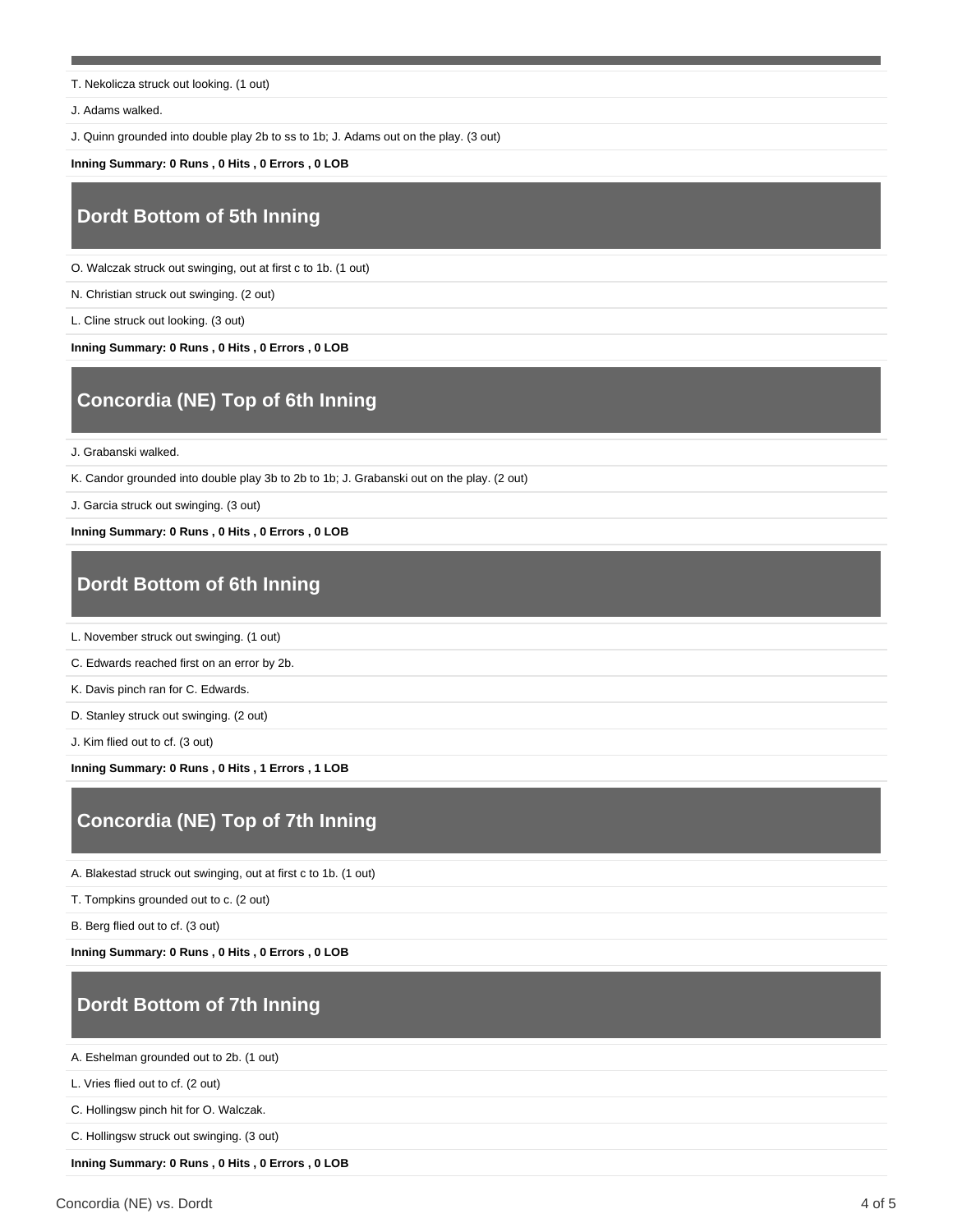T. Nekolicza struck out looking. (1 out)

J. Adams walked.

J. Quinn grounded into double play 2b to ss to 1b; J. Adams out on the play. (3 out)

**Inning Summary: 0 Runs , 0 Hits , 0 Errors , 0 LOB**

## **Dordt Bottom of 5th Inning**

O. Walczak struck out swinging, out at first c to 1b. (1 out)

N. Christian struck out swinging. (2 out)

L. Cline struck out looking. (3 out)

**Inning Summary: 0 Runs , 0 Hits , 0 Errors , 0 LOB**

## **Concordia (NE) Top of 6th Inning**

J. Grabanski walked.

K. Candor grounded into double play 3b to 2b to 1b; J. Grabanski out on the play. (2 out)

J. Garcia struck out swinging. (3 out)

**Inning Summary: 0 Runs , 0 Hits , 0 Errors , 0 LOB**

### **Dordt Bottom of 6th Inning**

L. November struck out swinging. (1 out)

C. Edwards reached first on an error by 2b.

K. Davis pinch ran for C. Edwards.

D. Stanley struck out swinging. (2 out)

J. Kim flied out to cf. (3 out)

**Inning Summary: 0 Runs , 0 Hits , 1 Errors , 1 LOB**

# **Concordia (NE) Top of 7th Inning**

A. Blakestad struck out swinging, out at first c to 1b. (1 out)

T. Tompkins grounded out to c. (2 out)

B. Berg flied out to cf. (3 out)

**Inning Summary: 0 Runs , 0 Hits , 0 Errors , 0 LOB**

#### **Dordt Bottom of 7th Inning**

A. Eshelman grounded out to 2b. (1 out)

L. Vries flied out to cf. (2 out)

C. Hollingsw pinch hit for O. Walczak.

C. Hollingsw struck out swinging. (3 out)

**Inning Summary: 0 Runs , 0 Hits , 0 Errors , 0 LOB**